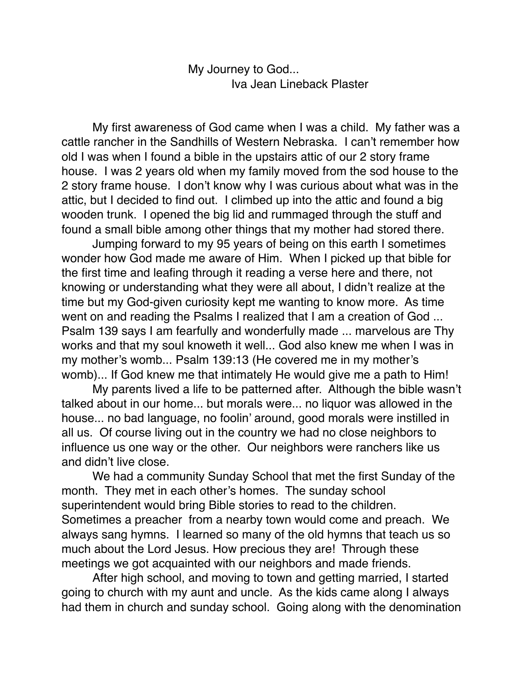My Journey to God... Iva Jean Lineback Plaster

My first awareness of God came when I was a child. My father was a cattle rancher in the Sandhills of Western Nebraska. I can't remember how old I was when I found a bible in the upstairs attic of our 2 story frame house. I was 2 years old when my family moved from the sod house to the 2 story frame house. I don't know why I was curious about what was in the attic, but I decided to find out. I climbed up into the attic and found a big wooden trunk. I opened the big lid and rummaged through the stuff and found a small bible among other things that my mother had stored there.

Jumping forward to my 95 years of being on this earth I sometimes wonder how God made me aware of Him. When I picked up that bible for the first time and leafing through it reading a verse here and there, not knowing or understanding what they were all about, I didn't realize at the time but my God-given curiosity kept me wanting to know more. As time went on and reading the Psalms I realized that I am a creation of God ... Psalm 139 says I am fearfully and wonderfully made ... marvelous are Thy works and that my soul knoweth it well... God also knew me when I was in my mother's womb... Psalm 139:13 (He covered me in my mother's womb)... If God knew me that intimately He would give me a path to Him!

My parents lived a life to be patterned after. Although the bible wasn't talked about in our home... but morals were... no liquor was allowed in the house... no bad language, no foolin' around, good morals were instilled in all us. Of course living out in the country we had no close neighbors to influence us one way or the other. Our neighbors were ranchers like us and didn't live close.

We had a community Sunday School that met the first Sunday of the month. They met in each other's homes. The sunday school superintendent would bring Bible stories to read to the children. Sometimes a preacher from a nearby town would come and preach. We always sang hymns. I learned so many of the old hymns that teach us so much about the Lord Jesus. How precious they are! Through these meetings we got acquainted with our neighbors and made friends.

After high school, and moving to town and getting married, I started going to church with my aunt and uncle. As the kids came along I always had them in church and sunday school. Going along with the denomination